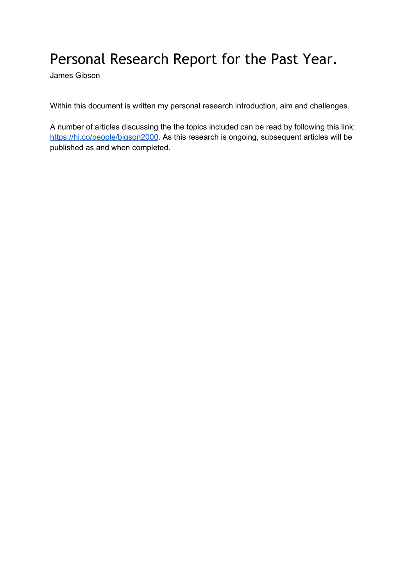## Personal Research Report for the Past Year.

James Gibson

Within this document is written my personal research introduction, aim and challenges.

A number of articles discussing the the topics included can be read by following this link: <https://hi.co/people/bigson2000>. As this research is ongoing, subsequent articles will be published as and when completed.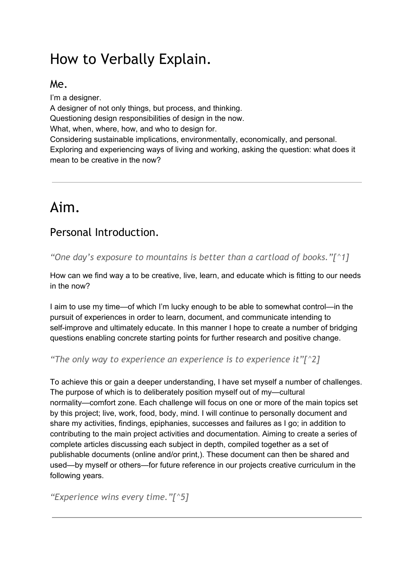# How to Verbally Explain.

#### Me.

I'm a designer. A designer of not only things, but process, and thinking. Questioning design responsibilities of design in the now. What, when, where, how, and who to design for. Considering sustainable implications, environmentally, economically, and personal. Exploring and experiencing ways of living and working, asking the question: what does it mean to be creative in the now?

## Aim.

## Personal Introduction.

*"One day's exposure to mountains is better than a cartload of books."[^1]*

How can we find way a to be creative, live, learn, and educate which is fitting to our needs in the now?

I aim to use my time—of which I'm lucky enough to be able to somewhat control—in the pursuit of experiences in order to learn, document, and communicate intending to self-improve and ultimately educate. In this manner I hope to create a number of bridging questions enabling concrete starting points for further research and positive change.

*"The only way to experience an experience is to experience it"[^2]*

To achieve this or gain a deeper understanding, I have set myself a number of challenges. The purpose of which is to deliberately position myself out of my—cultural normality—comfort zone. Each challenge will focus on one or more of the main topics set by this project; live, work, food, body, mind. I will continue to personally document and share my activities, findings, epiphanies, successes and failures as I go; in addition to contributing to the main project activities and documentation. Aiming to create a series of complete articles discussing each subject in depth, compiled together as a set of publishable documents (online and/or print,). These document can then be shared and used—by myself or others—for future reference in our projects creative curriculum in the following years.

*"Experience wins every time."[^5]*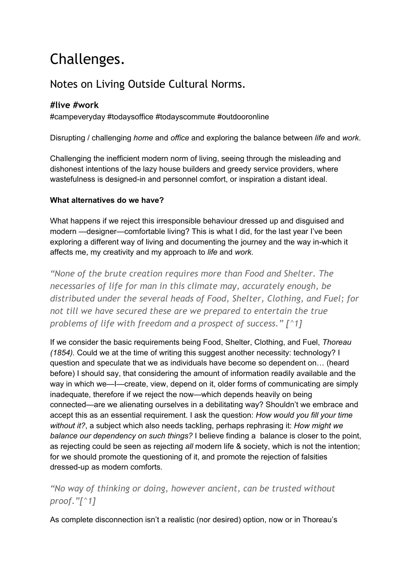# Challenges.

## Notes on Living Outside Cultural Norms.

#### **#live #work**

#campeveryday #todaysoffice #todayscommute #outdooronline

Disrupting / challenging *home* and *office* and exploring the balance between *life* and *work*.

Challenging the inefficient modern norm of living, seeing through the misleading and dishonest intentions of the lazy house builders and greedy service providers, where wastefulness is designed-in and personnel comfort, or inspiration a distant ideal.

#### **What alternatives do we have?**

What happens if we reject this irresponsible behaviour dressed up and disguised and modern —designer—comfortable living? This is what I did, for the last year I've been exploring a different way of living and documenting the journey and the way in-which it affects me, my creativity and my approach to *life* and *work*.

*"None of the brute creation requires more than Food and Shelter. The necessaries of life for man in this climate may, accurately enough, be distributed under the several heads of Food, Shelter, Clothing, and Fuel; for not till we have secured these are we prepared to entertain the true problems of life with freedom and a prospect of success." [^1]*

If we consider the basic requirements being Food, Shelter, Clothing, and Fuel, *Thoreau (1854).* Could we at the time of writing this suggest another necessity: technology? I question and speculate that we as individuals have become so dependent on… (heard before) I should say, that considering the amount of information readily available and the way in which we—I—create, view, depend on it, older forms of communicating are simply inadequate, therefore if we reject the now—which depends heavily on being connected—are we alienating ourselves in a debilitating way? Shouldn't we embrace and accept this as an essential requirement. I ask the question: *How would you fill your time without it?*, a subject which also needs tackling, perhaps rephrasing it: *How might we balance our dependency on such things?* I believe finding a balance is closer to the point, as rejecting could be seen as rejecting *all* modern life & society, which is not the intention; for we should promote the questioning of it, and promote the rejection of falsities dressed-up as modern comforts.

#### *"No way of thinking or doing, however ancient, can be trusted without proof."[^1]*

As complete disconnection isn't a realistic (nor desired) option, now or in Thoreau's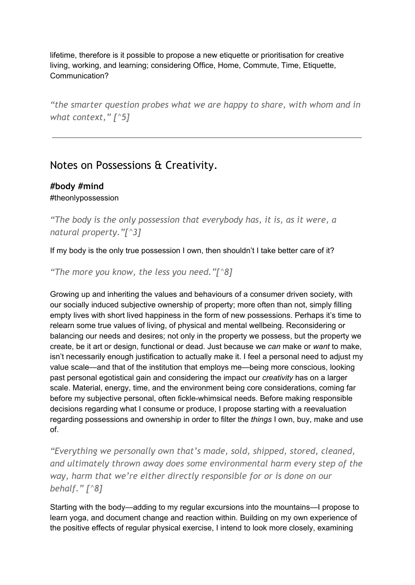lifetime, therefore is it possible to propose a new etiquette or prioritisation for creative living, working, and learning; considering Office, Home, Commute, Time, Etiquette, Communication?

*"the smarter question probes what we are happy to share, with whom and in what context," [^5]*

## Notes on Possessions & Creativity.

#### **#body #mind** #theonlypossession

*"The body is the only possession that everybody has, it is, as it were, a natural property."[^3]*

If my body is the only true possession I own, then shouldn't I take better care of it?

*"The more you know, the less you need."[^8]*

Growing up and inheriting the values and behaviours of a consumer driven society, with our socially induced subjective ownership of property; more often than not, simply filling empty lives with short lived happiness in the form of new possessions. Perhaps it's time to relearn some true values of living, of physical and mental wellbeing. Reconsidering or balancing our needs and desires; not only in the property we possess, but the property we create, be it art or design, functional or dead. Just because we *can* make or *want* to make, isn't necessarily enough justification to actually make it. I feel a personal need to adjust my value scale—and that of the institution that employs me—being more conscious, looking past personal egotistical gain and considering the impact our *creativity* has on a larger scale. Material, energy, time, and the environment being core considerations, coming far before my subjective personal, often fickle-whimsical needs. Before making responsible decisions regarding what I consume or produce, I propose starting with a reevaluation regarding possessions and ownership in order to filter the *things* I own, buy, make and use of.

*"Everything we personally own that's made, sold, shipped, stored, cleaned, and ultimately thrown away does some environmental harm every step of the way, harm that we're either directly responsible for or is done on our behalf." [^8]*

Starting with the body—adding to my regular excursions into the mountains—I propose to learn yoga, and document change and reaction within. Building on my own experience of the positive effects of regular physical exercise, I intend to look more closely, examining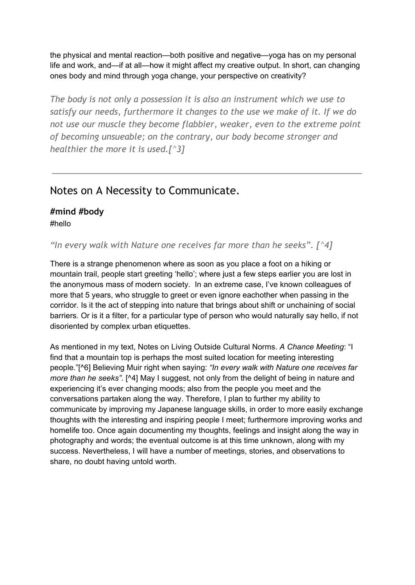the physical and mental reaction—both positive and negative—yoga has on my personal life and work, and—if at all—how it might affect my creative output. In short, can changing ones body and mind through yoga change, your perspective on creativity?

*The body is not only a possession it is also an instrument which we use to satisfy our needs, furthermore it changes to the use we make of it. If we do not use our muscle they become flabbier, weaker, even to the extreme point of becoming unsueable; on the contrary, our body become stronger and healthier the more it is used.[^3]*

### Notes on A Necessity to Communicate.

#### **#mind #body** #hello

*"In every walk with Nature one receives far more than he seeks". [^4]*

There is a strange phenomenon where as soon as you place a foot on a hiking or mountain trail, people start greeting 'hello'; where just a few steps earlier you are lost in the anonymous mass of modern society. In an extreme case, I've known colleagues of more that 5 years, who struggle to greet or even ignore eachother when passing in the corridor. Is it the act of stepping into nature that brings about shift or unchaining of social barriers. Or is it a filter, for a particular type of person who would naturally say hello, if not disoriented by complex urban etiquettes.

As mentioned in my text, Notes on Living Outside Cultural Norms. *A Chance Meeting*: "I find that a mountain top is perhaps the most suited location for meeting interesting people."[^6] Believing Muir right when saying: *"In every walk with Nature one receives far more than he seeks".* [^4] May I suggest, not only from the delight of being in nature and experiencing it's ever changing moods; also from the people you meet and the conversations partaken along the way. Therefore, I plan to further my ability to communicate by improving my Japanese language skills, in order to more easily exchange thoughts with the interesting and inspiring people I meet; furthermore improving works and homelife too. Once again documenting my thoughts, feelings and insight along the way in photography and words; the eventual outcome is at this time unknown, along with my success. Nevertheless, I will have a number of meetings, stories, and observations to share, no doubt having untold worth.